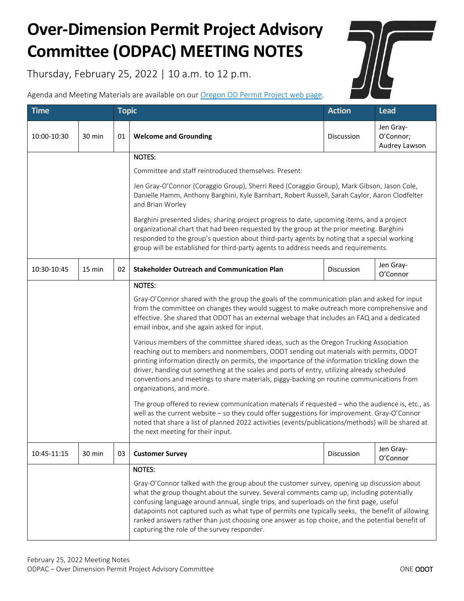## **Over-Dimension Permit Project Advisory Committee (ODPAC) MEETING NOTES**

Thursday, February 25, 2022 | 10 a.m. to 12 p.m.

Agenda and Meeting Materials are available on our [Oregon OD Permit Project web page.](https://www.oregon.gov/odot/MCT/Pages/Oregon-OD-Permit-Project.aspx)

| <b>Time</b> |        | <b>Topic</b> |                                                                                                                                                                                                                                                                                                                                                                                                                                                                                                           | <b>Action</b> | <b>Lead</b>                             |  |  |
|-------------|--------|--------------|-----------------------------------------------------------------------------------------------------------------------------------------------------------------------------------------------------------------------------------------------------------------------------------------------------------------------------------------------------------------------------------------------------------------------------------------------------------------------------------------------------------|---------------|-----------------------------------------|--|--|
| 10:00-10:30 | 30 min | 01           | <b>Welcome and Grounding</b>                                                                                                                                                                                                                                                                                                                                                                                                                                                                              | Discussion    | Jen Gray-<br>O'Connor;<br>Audrey Lawson |  |  |
|             |        |              | <b>NOTES:</b>                                                                                                                                                                                                                                                                                                                                                                                                                                                                                             |               |                                         |  |  |
|             |        |              | Committee and staff reintroduced themselves. Present:                                                                                                                                                                                                                                                                                                                                                                                                                                                     |               |                                         |  |  |
|             |        |              | Jen Gray-O'Connor (Coraggio Group), Sherri Reed (Coraggio Group), Mark Gibson, Jason Cole,<br>Danielle Hamm, Anthony Barghini, Kyle Barnhart, Robert Russell, Sarah Caylor, Aaron Clodfelter<br>and Brian Worley                                                                                                                                                                                                                                                                                          |               |                                         |  |  |
|             |        |              | Barghini presented slides, sharing project progress to date, upcoming items, and a project<br>organizational chart that had been requested by the group at the prior meeting. Barghini<br>responded to the group's question about third-party agents by noting that a special working<br>group will be established for third-party agents to address needs and requirements.                                                                                                                              |               |                                         |  |  |
| 10:30-10:45 | 15 min | 02           | <b>Stakeholder Outreach and Communication Plan</b>                                                                                                                                                                                                                                                                                                                                                                                                                                                        | Discussion    | Jen Gray-<br>O'Connor                   |  |  |
|             |        |              | <b>NOTES:</b>                                                                                                                                                                                                                                                                                                                                                                                                                                                                                             |               |                                         |  |  |
|             |        |              | Gray-O'Connor shared with the group the goals of the communication plan and asked for input<br>from the committee on changes they would suggest to make outreach more comprehensive and<br>effective. She shared that ODOT has an external webage that includes an FAQ and a dedicated<br>email inbox, and she again asked for input.                                                                                                                                                                     |               |                                         |  |  |
|             |        |              | Various members of the committee shared ideas, such as the Oregon Trucking Association<br>reaching out to members and nonmembers, ODOT sending out materials with permits, ODOT<br>printing information directly on permits, the importance of the information trickling down the<br>driver, handing out something at the scales and ports of entry, utilizing already scheduled<br>conventions and meetings to share materials, piggy-backing on routine communications from<br>organizations, and more. |               |                                         |  |  |
|             |        |              | The group offered to review communication materials if requested - who the audience is, etc., as<br>well as the current website - so they could offer suggestions for improvement. Gray-O'Connor<br>noted that share a list of planned 2022 activities (events/publications/methods) will be shared at<br>the next meeting for their input.                                                                                                                                                               |               |                                         |  |  |
| 10:45-11:15 | 30 min | 03           | <b>Customer Survey</b>                                                                                                                                                                                                                                                                                                                                                                                                                                                                                    | Discussion    | Jen Gray-<br>O'Connor                   |  |  |
|             |        |              | <b>NOTES:</b><br>Gray-O'Connor talked with the group about the customer survey, opening up discussion about<br>what the group thought about the survey. Several comments camp up, including potentially<br>confusing language around annual, single trips, and superloads on the first page, useful                                                                                                                                                                                                       |               |                                         |  |  |
|             |        |              | datapoints not captured such as what type of permits one typically seeks, the benefit of allowing<br>ranked answers rather than just choosing one answer as top choice, and the potential benefit of<br>capturing the role of the survey responder.                                                                                                                                                                                                                                                       |               |                                         |  |  |